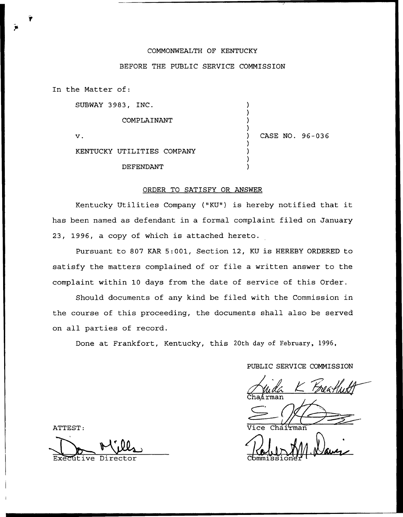## COMMONWEALTH OF KENTUCKY

## BEFORE THE PUBLIC SERVICE COMMISSION

) ) ) )

) ) ) )

In the Matter of:

SUBWAY 3983, INC.

COMPLAINANT

 $\mathbf v$ .

) CASE NO. 96-036

KENTUCKY UTILITIES COMPANY

DEPENDANT

## ORDER TO SATISFY OR ANSWER

Kentucky Utilities Company ("KU") is hereby notified that it has been named as defendant in a formal complaint filed on January 23, 1996, a copy of which is attached hereto.

Pursuant to 807 KAR 5:001, Section 12, KU is HEREBY ORDERED to satisfy the matters complained of or file a written answer to the complaint within 10 days from the date of service of this Order.

Should documents of any kind be filed with the Commission in the course of this proceeding, the documents shall also be served on all parties of record.

Done at Frankfort, Kentucky, this 20th day of February, 1996,

PUBLIC SERVICE COMMISSION

Cha⁄irma

Vice Chairma

 $J_{\rm J}$  AM  $\ell$  $Commissible$ 

ATTEST:

Executive Director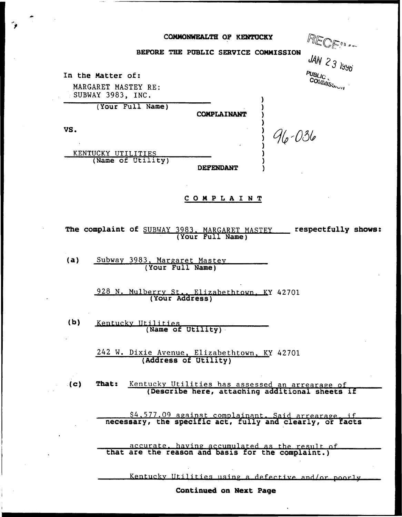## COMMONWEALTH OF KENTUCKY

| <b>EALTH OF KENTUCKY</b>       | RECE !!!             |
|--------------------------------|----------------------|
| <b>BLIC SERVICE COMMISSION</b> | JAN 23 $155$         |
|                                | PUBLIC<br>COMMISSION |
| <b>COMPLAINANT</b>             |                      |
| $96 - 036$                     |                      |
| <b>DEPENDANT</b>               |                      |

BEFORE THE PUBLIC SERVI

The complaint of SUBWAY 3983, MARGARET MASTEY \_\_\_\_ respectfully shows: (Your Full Name)

COMPLAINT

 $(a)$ Subway 3983, Margaret Mastey (Your Full Name)

In the Matter of:

VS.

MARGARET MASTEY RE: SUBWAY 3983, INC.

KENTUCKY UTILITIES

(Your Full Name)

(Name of Utility)

928 N. Mulberry St., Elizabethtown, KY 42701

 $(b)$ Kentucky Utilities (Name of Utility)

> 242 W. Dixie Avenue, Elizabethtown, KY 42701 (Address of Utility)

 $\langle c \rangle$ That: Kentucky Utilities has assessed an arrearage of (Describe here, attaching additional sheets if

\$4,577.09 against complainant. Said arrearage, if<br>necessary, the specific act, fully and clearly, or facts

accurate, having accumulated as the result of<br>that are the reason and basis for the complaint.)

Kentucky Utilities using a defective and/or poorly

Continued on Next Page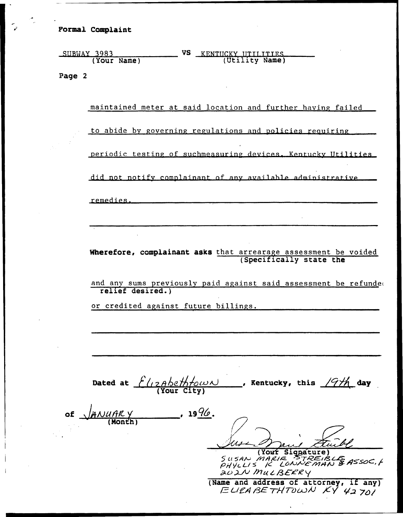Formal Complaint

| SUBWAY 3983 | VS | KENTUCKY UTILITIES |
|-------------|----|--------------------|
| (Your Name) |    | (Utility Name)     |

Page 2

maintained meter at said location and further having failed

to abide by governing regulations and policies requiring

periodic testing of suchmeasuring devices. Kentucky Utilities

did not notify complainant of any available administrative

remedies.

Wherefore, complainant asks that arrearage assessment be voided (Specifically state the

and any sums previously paid against said assessment be refunded relief desired.)

or credited against future billings.

Dated at  $8$  (12Abethfown (Your City) , Kentucky, this  $\sqrt{9/h}$  day

of  $\sqrt{A N U A R}$ (Month)  $-$ , 19 $\frac{9}{6}$ .

 $\mathcal{T}$ (Yout Signature)<br>Susan Marie STREIBLE SUSAN MARIE "STREIBLE ASSOC,<br>PHYLLIS I LONNE MAN & ASSOC,<br>202N MULBERRY

 $\frac{\partial^2 \mathcal{L}}{\partial \mathbf{m}}$  (Name and address of attorney, if any)<br> $\mathcal{L}(\mathcal{L})$  ( $\mathcal{L}(\mathcal{L})$   $\mathcal{L}(\mathcal{L})$   $\mathcal{L}(\mathcal{L})$   $\mathcal{L}(\mathcal{L})$   $\mathcal{L}(\mathcal{L})$   $\mathcal{L}(\mathcal{L})$